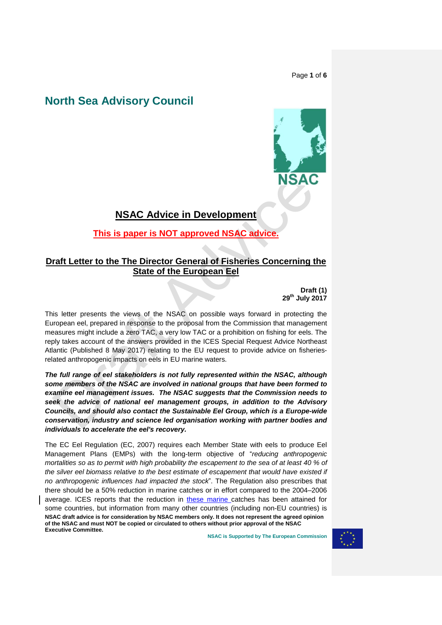Page **1** of **6**

# **North Sea Advisory Council**



# **NSAC Advice in Development**

# **This is paper is NOT approved NSAC advice.**

## **Draft Letter to the The Director General of Fisheries Concerning the State of the European Eel**

**Draft (1) 29th July 2017**

This letter presents the views of the NSAC on possible ways forward in protecting the European eel, prepared in response to the proposal from the Commission that management measures might include a zero TAC, a very low TAC or a prohibition on fishing for eels. The reply takes account of the answers provided in the ICES Special Request Advice Northeast Atlantic (Published 8 May 2017) relating to the EU request to provide advice on fisheriesrelated anthropogenic impacts on eels in EU marine waters.

*The full range of eel stakeholders is not fully represented within the NSAC, although some members of the NSAC are involved in national groups that have been formed to examine eel management issues. The NSAC suggests that the Commission needs to seek the advice of national eel management groups, in addition to the Advisory Councils, and should also contact the Sustainable Eel Group, which is a Europe-wide conservation, industry and science led organisation working with partner bodies and individuals to accelerate the eel's recovery.*

**NSAC draft advice is for consideration by NSAC members only. It does not represent the agreed opinion of the NSAC and must NOT be copied or circulated to others without prior approval of the NSAC Executive Committee.** The EC Eel Regulation (EC, 2007) requires each Member State with eels to produce Eel Management Plans (EMPs) with the long-term objective of "*reducing anthropogenic mortalities so as to permit with high probability the escapement to the sea of at least 40 % of the silver eel biomass relative to the best estimate of escapement that would have existed if no anthropogenic influences had impacted the stock*". The Regulation also prescribes that there should be a 50% reduction in marine catches or in effort compared to the 2004–2006 average. ICES reports that the reduction in these marine catches has been attained for some countries, but information from many other countries (including non-EU countries) is

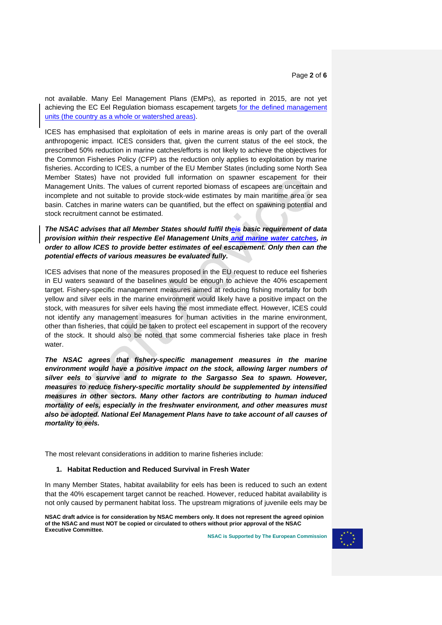not available. Many Eel Management Plans (EMPs), as reported in 2015, are not yet achieving the EC Eel Regulation biomass escapement targets for the defined management units (the country as a whole or watershed areas).

ICES has emphasised that exploitation of eels in marine areas is only part of the overall anthropogenic impact. ICES considers that, given the current status of the eel stock, the prescribed 50% reduction in marine catches/efforts is not likely to achieve the objectives for the Common Fisheries Policy (CFP) as the reduction only applies to exploitation by marine fisheries. According to ICES, a number of the EU Member States (including some North Sea Member States) have not provided full information on spawner escapement for their Management Units. The values of current reported biomass of escapees are uncertain and incomplete and not suitable to provide stock-wide estimates by main maritime area or sea basin. Catches in marine waters can be quantified, but the effect on spawning potential and stock recruitment cannot be estimated.

*The NSAC advises that all Member States should fulfil theis basic requirement of data provision within their respective Eel Management Units and marine water catches, in order to allow ICES to provide better estimates of eel escapement. Only then can the potential effects of various measures be evaluated fully.*

ICES advises that none of the measures proposed in the EU request to reduce eel fisheries in EU waters seaward of the baselines would be enough to achieve the 40% escapement target. Fishery-specific management measures aimed at reducing fishing mortality for both yellow and silver eels in the marine environment would likely have a positive impact on the stock, with measures for silver eels having the most immediate effect. However, ICES could not identify any management measures for human activities in the marine environment, other than fisheries, that could be taken to protect eel escapement in support of the recovery of the stock. It should also be noted that some commercial fisheries take place in fresh water.

*The NSAC agrees that fishery-specific management measures in the marine*  environment would have a positive impact on the stock, allowing larger numbers of *silver eels to survive and to migrate to the Sargasso Sea to spawn. However, measures to reduce fishery-specific mortality should be supplemented by intensified measures in other sectors. Many other factors are contributing to human induced mortality of eels, especially in the freshwater environment, and other measures must also be adopted. National Eel Management Plans have to take account of all causes of mortality to eels.* 

The most relevant considerations in addition to marine fisheries include:

### **1. Habitat Reduction and Reduced Survival in Fresh Water**

In many Member States, habitat availability for eels has been is reduced to such an extent that the 40% escapement target cannot be reached. However, reduced habitat availability is not only caused by permanent habitat loss. The upstream migrations of juvenile eels may be

**NSAC draft advice is for consideration by NSAC members only. It does not represent the agreed opinion of the NSAC and must NOT be copied or circulated to others without prior approval of the NSAC Executive Committee.**

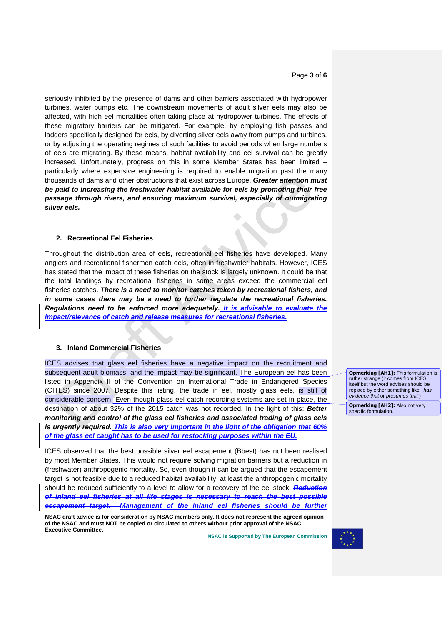Page **3** of **6**

seriously inhibited by the presence of dams and other barriers associated with hydropower turbines, water pumps etc. The downstream movements of adult silver eels may also be affected, with high eel mortalities often taking place at hydropower turbines. The effects of these migratory barriers can be mitigated. For example, by employing fish passes and ladders specifically designed for eels, by diverting silver eels away from pumps and turbines, or by adjusting the operating regimes of such facilities to avoid periods when large numbers of eels are migrating. By these means, habitat availability and eel survival can be greatly increased. Unfortunately, progress on this in some Member States has been limited – particularly where expensive engineering is required to enable migration past the many thousands of dams and other obstructions that exist across Europe. *Greater attention must be paid to increasing the freshwater habitat available for eels by promoting their free passage through rivers, and ensuring maximum survival, especially of outmigrating silver eels.*

### **2. Recreational Eel Fisheries**

Throughout the distribution area of eels, recreational eel fisheries have developed. Many anglers and recreational fishermen catch eels, often in freshwater habitats. However, ICES has stated that the impact of these fisheries on the stock is largely unknown. It could be that the total landings by recreational fisheries in some areas exceed the commercial eel fisheries catches. *There is a need to monitor catches taken by recreational fishers, and in some cases there may be a need to further regulate the recreational fisheries. Regulations need to be enforced more adequately. It is advisable to evaluate the impact/relevance of catch and release measures for recreational fisheries.*

#### **3. Inland Commercial Fisheries**

ICES advises that glass eel fisheries have a negative impact on the recruitment and subsequent adult biomass, and the impact may be significant. The European eel has been listed in Appendix II of the Convention on International Trade in Endangered Species (CITES) since 2007. Despite this listing, the trade in eel, mostly glass eels, is still of considerable concern. Even though glass eel catch recording systems are set in place, the destination of about 32% of the 2015 catch was not recorded. In the light of this: *Better monitoring and control of the glass eel fisheries and associated trading of glass eels is urgently required. This is also very important in the light of the obligation that 60% of the glass eel caught has to be used for restocking purposes within the EU.*

ICES observed that the best possible silver eel escapement (Bbest) has not been realised by most Member States. This would not require solving migration barriers but a reduction in (freshwater) anthropogenic mortality. So, even though it can be argued that the escapement target is not feasible due to a reduced habitat availability, at least the anthropogenic mortality should be reduced sufficiently to a level to allow for a recovery of the eel stock. *Reduction of inland eel fisheries at all life stages is necessary to reach the best possible escapement target. Management of the inland eel fisheries should be further* 

**NSAC draft advice is for consideration by NSAC members only. It does not represent the agreed opinion of the NSAC and must NOT be copied or circulated to others without prior approval of the NSAC Executive Committee.**

**NSAC is Supported by The European Commission**



**Opmerking [AH1]: This formulation is** rather strange (it comes from ICES itself but the word advises should be replace by either something like: *has evidence that* or *presumes that* )

**Opmerking [AH2]:** Also not very specific formulation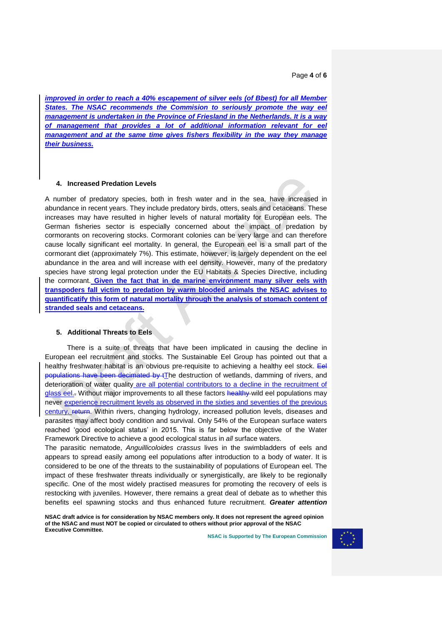Page **4** of **6**

*improved in order to reach a 40% escapement of silver eels (of Bbest) for all Member*  **States. The NSAC recommends the Commision to seriously promote the way eel** *management is undertaken in the Province of Friesland in the Netherlands. It is a way of management that provides a lot of additional information relevant for eel management and at the same time gives fishers flexibility in the way they manage their business.* 

## **4. Increased Predation Levels**

A number of predatory species, both in fresh water and in the sea, have increased in abundance in recent years. They include predatory birds, otters, seals and cetaceans. These increases may have resulted in higher levels of natural mortality for European eels. The German fisheries sector is especially concerned about the impact of predation by cormorants on recovering stocks. Cormorant colonies can be very large and can therefore cause locally significant eel mortality. In general, the European eel is a small part of the cormorant diet (approximately 7%). This estimate, however, is largely dependent on the eel abundance in the area and will increase with eel density. However, many of the predatory species have strong legal protection under the EU Habitats & Species Directive, including the cormorant. **Given the fact that in de marine environment many silver eels with transpoders fall victim to predation by warm blooded animals the NSAC advises to quantificatify this form of natural mortality through the analysis of stomach content of stranded seals and cetaceans.** 

#### **5. Additional Threats to Eels**

There is a suite of threats that have been implicated in causing the decline in European eel recruitment and stocks. The Sustainable Eel Group has pointed out that a healthy freshwater habitat is an obvious pre-requisite to achieving a healthy eel stock. Eel populations have been decimated by tThe destruction of wetlands, damming of rivers, and deterioration of water quality are all potential contributors to a decline in the recruitment of glass eel.- Without major improvements to all these factors healthy wild eel populations may never experience recruitment levels as observed in the sixties and seventies of the previous century. return. Within rivers, changing hydrology, increased pollution levels, diseases and parasites may affect body condition and survival. Only 54% of the European surface waters reached 'good ecological status' in 2015. This is far below the objective of the Water Framework Directive to achieve a good ecological status in *all* surface waters.

The parasitic nematode, *Anguillicoloides crassus* lives in the swimbladders of eels and appears to spread easily among eel populations after introduction to a body of water. It is considered to be one of the threats to the sustainability of populations of European eel. The impact of these freshwater threats individually or synergistically, are likely to be regionally specific. One of the most widely practised measures for promoting the recovery of eels is restocking with juveniles. However, there remains a great deal of debate as to whether this benefits eel spawning stocks and thus enhanced future recruitment. *Greater attention* 

**NSAC draft advice is for consideration by NSAC members only. It does not represent the agreed opinion of the NSAC and must NOT be copied or circulated to others without prior approval of the NSAC Executive Committee.**

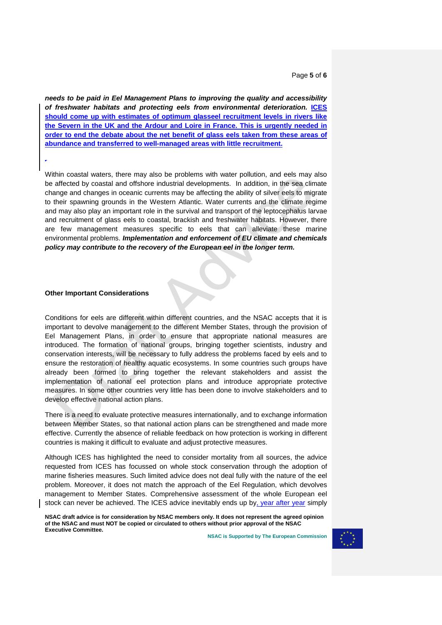Page **5** of **6**

*needs to be paid in Eel Management Plans to improving the quality and accessibility of freshwater habitats and protecting eels from environmental deterioration.* **ICES should come up with estimates of optimum glasseel recruitment levels in rivers like the Severn in the UK and the Ardour and Loire in France. This is urgently needed in order to end the debate about the net benefit of glass eels taken from these areas of abundance and transferred to well-managed areas with little recruitment.** 

Within coastal waters, there may also be problems with water pollution, and eels may also be affected by coastal and offshore industrial developments. In addition, in the sea climate change and changes in oceanic currents may be affecting the ability of silver eels to migrate to their spawning grounds in the Western Atlantic. Water currents and the climate regime and may also play an important role in the survival and transport of the leptocephalus larvae and recruitment of glass eels to coastal, brackish and freshwater habitats. However, there are few management measures specific to eels that can alleviate these marine environmental problems. *Implementation and enforcement of EU climate and chemicals policy may contribute to the recovery of the European eel in the longer term.*

#### **Other Important Considerations**

*.*

Conditions for eels are different within different countries, and the NSAC accepts that it is important to devolve management to the different Member States, through the provision of Eel Management Plans, in order to ensure that appropriate national measures are introduced. The formation of national groups, bringing together scientists, industry and conservation interests, will be necessary to fully address the problems faced by eels and to ensure the restoration of healthy aquatic ecosystems. In some countries such groups have already been formed to bring together the relevant stakeholders and assist the implementation of national eel protection plans and introduce appropriate protective measures. In some other countries very little has been done to involve stakeholders and to develop effective national action plans.

There is a need to evaluate protective measures internationally, and to exchange information between Member States, so that national action plans can be strengthened and made more effective. Currently the absence of reliable feedback on how protection is working in different countries is making it difficult to evaluate and adjust protective measures.

Although ICES has highlighted the need to consider mortality from all sources, the advice requested from ICES has focussed on whole stock conservation through the adoption of marine fisheries measures. Such limited advice does not deal fully with the nature of the eel problem. Moreover, it does not match the approach of the Eel Regulation, which devolves management to Member States. Comprehensive assessment of the whole European eel stock can never be achieved. The ICES advice inevitably ends up by, year after year simply

**NSAC draft advice is for consideration by NSAC members only. It does not represent the agreed opinion of the NSAC and must NOT be copied or circulated to others without prior approval of the NSAC Executive Committee.**